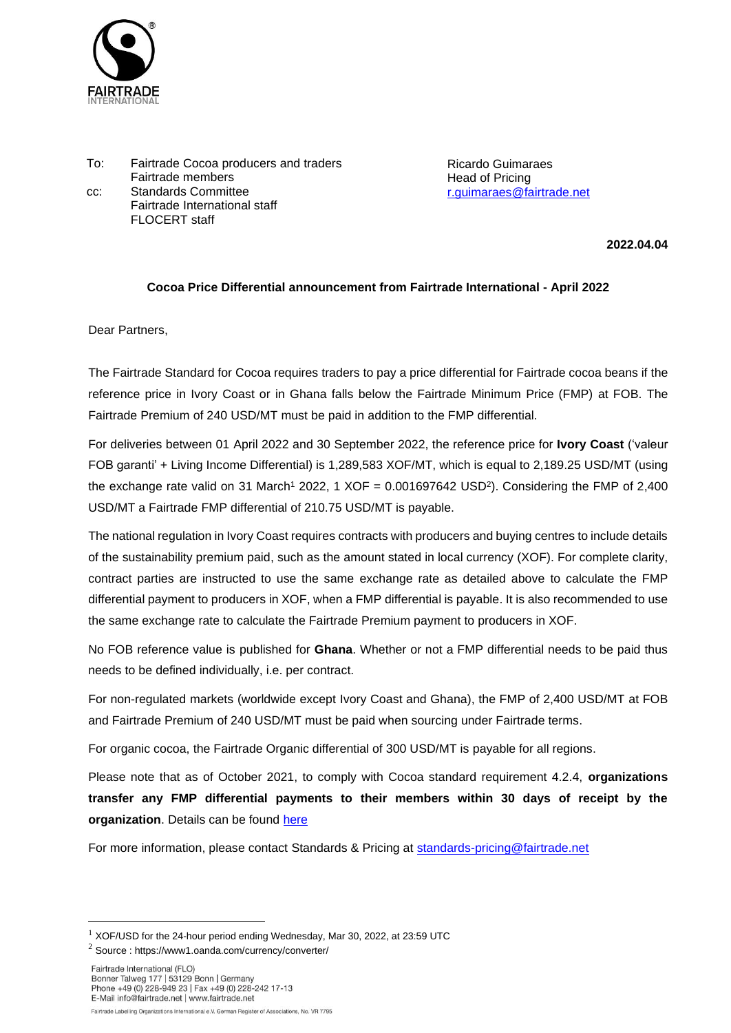

To: Fairtrade Cocoa producers and traders Fairtrade members cc: Standards Committee Fairtrade International staff FLOCERT staff

Ricardo Guimaraes Head of Pricing [r.guimaraes@fairtrade.net](mailto:r.guimaraes@fairtrade.net)

**2022.04.04**

## **Cocoa Price Differential announcement from Fairtrade International - April 2022**

Dear Partners,

The Fairtrade Standard for Cocoa requires traders to pay a price differential for Fairtrade cocoa beans if the reference price in Ivory Coast or in Ghana falls below the Fairtrade Minimum Price (FMP) at FOB. The Fairtrade Premium of 240 USD/MT must be paid in addition to the FMP differential.

For deliveries between 01 April 2022 and 30 September 2022, the reference price for **Ivory Coast** ('valeur FOB garanti' + Living Income Differential) is 1,289,583 XOF/MT, which is equal to 2,189.25 USD/MT (using the exchange rate valid on 31 March<sup>1</sup> 2022, 1 XOF =  $0.001697642$  USD<sup>2</sup>). Considering the FMP of 2,400 USD/MT a Fairtrade FMP differential of 210.75 USD/MT is payable.

The national regulation in Ivory Coast requires contracts with producers and buying centres to include details of the sustainability premium paid, such as the amount stated in local currency (XOF). For complete clarity, contract parties are instructed to use the same exchange rate as detailed above to calculate the FMP differential payment to producers in XOF, when a FMP differential is payable. It is also recommended to use the same exchange rate to calculate the Fairtrade Premium payment to producers in XOF.

No FOB reference value is published for **Ghana**. Whether or not a FMP differential needs to be paid thus needs to be defined individually, i.e. per contract.

For non-regulated markets (worldwide except Ivory Coast and Ghana), the FMP of 2,400 USD/MT at FOB and Fairtrade Premium of 240 USD/MT must be paid when sourcing under Fairtrade terms.

For organic cocoa, the Fairtrade Organic differential of 300 USD/MT is payable for all regions.

Please note that as of October 2021, to comply with Cocoa standard requirement 4.2.4, **organizations transfer any FMP differential payments to their members within 30 days of receipt by the organization**. Details can be found [here](https://files.fairtrade.net/standards/Cocoa_Interpretation-Note_EN.pdf)

For more information, please contact Standards & Pricing at [standards-pricing@fairtrade.net](mailto:standards-pricing@fairtrade.net)

 $1$  XOF/USD for the 24-hour period ending Wednesday, Mar 30, 2022, at 23:59 UTC

<sup>2</sup> Source : https://www1.oanda.com/currency/converter/